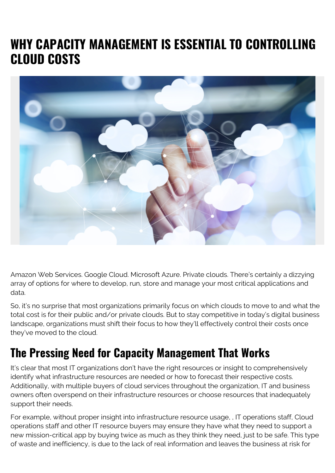# **WHY CAPACITY MANAGEMENT IS ESSENTIAL TO CONTROLLING CLOUD COSTS**



Amazon Web Services. Google Cloud. Microsoft Azure. Private clouds. There's certainly a dizzying array of options for where to develop, run, store and manage your most critical applications and data.

So, it's no surprise that most organizations primarily focus on which clouds to move to and what the total cost is for their public and/or private clouds. But to stay competitive in today's digital business landscape, organizations must shift their focus to how they'll effectively control their costs once they've moved to the cloud.

## **The Pressing Need for Capacity Management That Works**

It's clear that most IT organizations don't have the right resources or insight to comprehensively identify what infrastructure resources are needed or how to forecast their respective costs. Additionally, with multiple buyers of cloud services throughout the organization, IT and business owners often overspend on their infrastructure resources or choose resources that inadequately support their needs.

For example, without proper insight into infrastructure resource usage, , IT operations staff, Cloud operations staff and other IT resource buyers may ensure they have what they need to support a new mission-critical app by buying twice as much as they think they need, just to be safe. This type of waste and inefficiency, is due to the lack of real information and leaves the business at risk for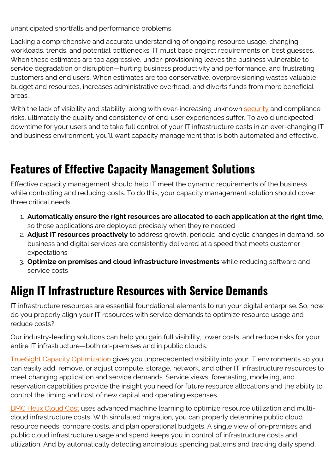unanticipated shortfalls and performance problems.

Lacking a comprehensive and accurate understanding of ongoing resource usage, changing workloads, trends, and potential bottlenecks, IT must base project requirements on best guesses. When these estimates are too aggressive, under-provisioning leaves the business vulnerable to service degradation or disruption—hurting business productivity and performance, and frustrating customers and end users. When estimates are too conservative, overprovisioning wastes valuable budget and resources, increases administrative overhead, and diverts funds from more beneficial areas.

With the lack of visibility and stability, along with ever-increasing unknown [security](https://blogs.bmc.com/blogs/security-vulnerability-vs-threat-vs-risk-whats-difference/) and compliance risks, ultimately the quality and consistency of end-user experiences suffer. To avoid unexpected downtime for your users and to take full control of your IT infrastructure costs in an ever-changing IT and business environment, you'll want capacity management that is both automated and effective.

### **Features of Effective Capacity Management Solutions**

Effective capacity management should help IT meet the dynamic requirements of the business while controlling and reducing costs. To do this, your capacity management solution should cover three critical needs:

- 1. **Automatically ensure the right resources are allocated to each application at the right time**, so those applications are deployed precisely when they're needed
- 2. **Adjust IT resources proactively** to address growth, periodic, and cyclic changes in demand, so business and digital services are consistently delivered at a speed that meets customer expectations
- 3. **Optimize on premises and cloud infrastructure investments** while reducing software and service costs

#### **Align IT Infrastructure Resources with Service Demands**

IT infrastructure resources are essential foundational elements to run your digital enterprise. So, how do you properly align your IT resources with service demands to optimize resource usage and reduce costs?

Our industry-leading solutions can help you gain full visibility, lower costs, and reduce risks for your entire IT infrastructure—both on-premises and in public clouds.

[TrueSight Capacity Optimization](https://blogs.bmc.com/it-solutions/capacity-optimization.html#tab-816fa846-af92-4b9f-a79e-a75963f0ed28) gives you unprecedented visibility into your IT environments so you can easily add, remove, or adjust compute, storage, network, and other IT infrastructure resources to meet changing application and service demands. Service views, forecasting, modeling, and reservation capabilities provide the insight you need for future resource allocations and the ability to control the timing and cost of new capital and operating expenses.

[BMC Helix Cloud Cost](https://www.bmc.com/documents/datasheets/bmc-helix-cloud-cost.html) uses advanced machine learning to optimize resource utilization and multicloud infrastructure costs. With simulated migration, you can properly determine public cloud resource needs, compare costs, and plan operational budgets. A single view of on-premises and public cloud infrastructure usage and spend keeps you in control of infrastructure costs and utilization. And by automatically detecting anomalous spending patterns and tracking daily spend,